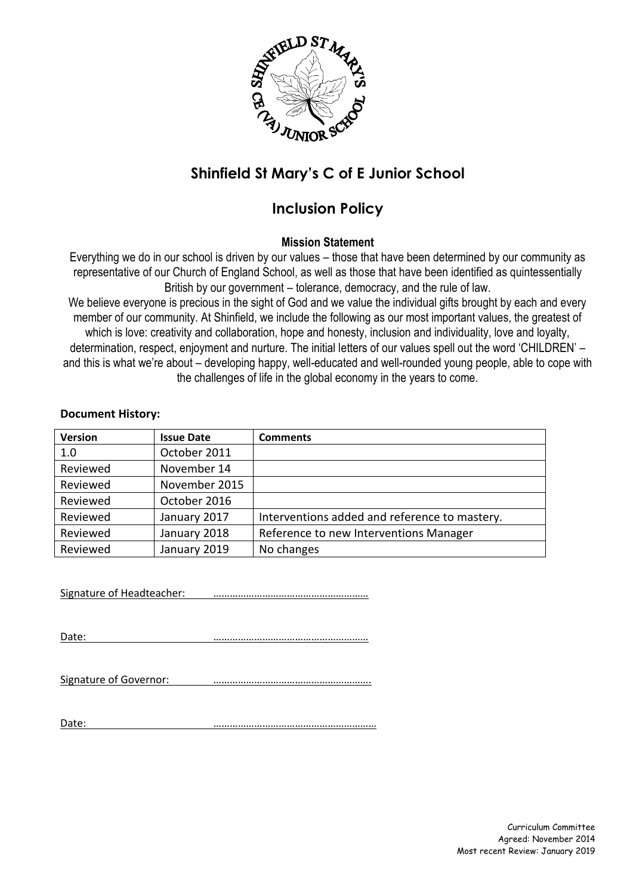

# **Shinfield St Mary's C of E Junior School**

## **Inclusion Policy**

## **Mission Statement**

Everything we do in our school is driven by our values – those that have been determined by our community as representative of our Church of England School, as well as those that have been identified as quintessentially British by our government – tolerance, democracy, and the rule of law.

We believe everyone is precious in the sight of God and we value the individual gifts brought by each and every member of our community. At Shinfield, we include the following as our most important values, the greatest of which is love: creativity and collaboration, hope and honesty, inclusion and individuality, love and loyalty, determination, respect, enjoyment and nurture. The initial letters of our values spell out the word 'CHILDREN' – and this is what we're about – developing happy, well-educated and well-rounded young people, able to cope with the challenges of life in the global economy in the years to come.

#### **Document History:**

| <b>Version</b> | <b>Issue Date</b> | <b>Comments</b>                               |
|----------------|-------------------|-----------------------------------------------|
| 1.0            | October 2011      |                                               |
| Reviewed       | November 14       |                                               |
| Reviewed       | November 2015     |                                               |
| Reviewed       | October 2016      |                                               |
| Reviewed       | January 2017      | Interventions added and reference to mastery. |
| Reviewed       | January 2018      | Reference to new Interventions Manager        |
| Reviewed       | January 2019      | No changes                                    |

Signature of Headteacher: <u>………………………………………………</u>

Date: …………………………………………………

Signature of Governor: <u>………………………………………………………</u>

Date: ……………………………………………………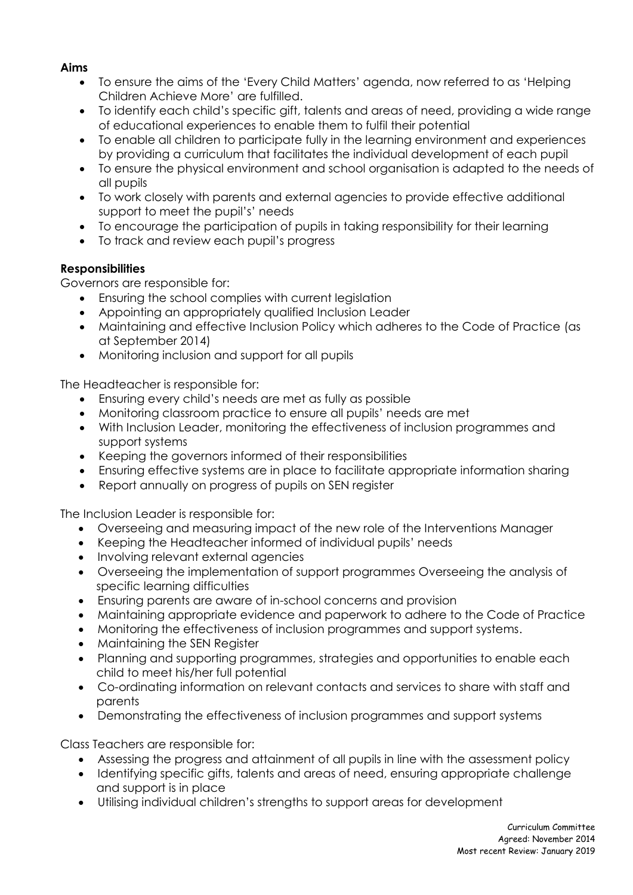### **Aims**

- To ensure the aims of the 'Every Child Matters' agenda, now referred to as 'Helping Children Achieve More' are fulfilled.
- To identify each child's specific gift, talents and areas of need, providing a wide range of educational experiences to enable them to fulfil their potential
- To enable all children to participate fully in the learning environment and experiences by providing a curriculum that facilitates the individual development of each pupil
- To ensure the physical environment and school organisation is adapted to the needs of all pupils
- To work closely with parents and external agencies to provide effective additional support to meet the pupil's' needs
- To encourage the participation of pupils in taking responsibility for their learning
- To track and review each pupil's progress

### **Responsibilities**

Governors are responsible for:

- Ensuring the school complies with current legislation
- Appointing an appropriately qualified Inclusion Leader
- Maintaining and effective Inclusion Policy which adheres to the Code of Practice (as at September 2014)
- Monitoring inclusion and support for all pupils

The Headteacher is responsible for:

- Ensuring every child's needs are met as fully as possible
- Monitoring classroom practice to ensure all pupils' needs are met
- With Inclusion Leader, monitoring the effectiveness of inclusion programmes and support systems
- Keeping the governors informed of their responsibilities
- Ensuring effective systems are in place to facilitate appropriate information sharing
- Report annually on progress of pupils on SEN register

The Inclusion Leader is responsible for:

- Overseeing and measuring impact of the new role of the Interventions Manager
- Keeping the Headteacher informed of individual pupils' needs
- Involving relevant external agencies
- Overseeing the implementation of support programmes Overseeing the analysis of specific learning difficulties
- Ensuring parents are aware of in-school concerns and provision
- Maintaining appropriate evidence and paperwork to adhere to the Code of Practice
- Monitoring the effectiveness of inclusion programmes and support systems.
- Maintaining the SEN Register
- Planning and supporting programmes, strategies and opportunities to enable each child to meet his/her full potential
- Co-ordinating information on relevant contacts and services to share with staff and parents
- Demonstrating the effectiveness of inclusion programmes and support systems

Class Teachers are responsible for:

- Assessing the progress and attainment of all pupils in line with the assessment policy
- Identifying specific gifts, talents and areas of need, ensuring appropriate challenge and support is in place
- Utilising individual children's strengths to support areas for development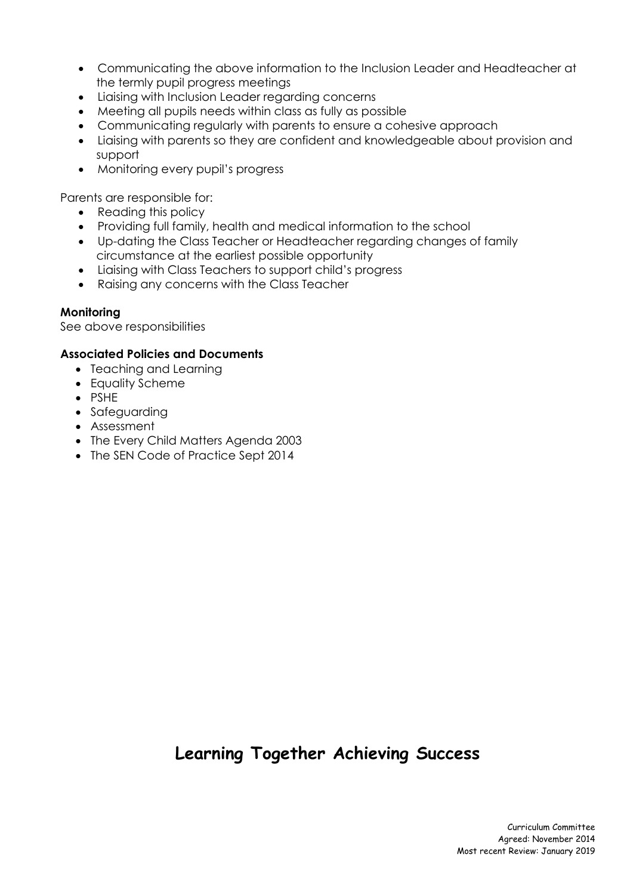- Communicating the above information to the Inclusion Leader and Headteacher at the termly pupil progress meetings
- Liaising with Inclusion Leader regarding concerns
- Meeting all pupils needs within class as fully as possible
- Communicating regularly with parents to ensure a cohesive approach
- Liaising with parents so they are confident and knowledgeable about provision and support
- Monitoring every pupil's progress

Parents are responsible for:

- Reading this policy
- Providing full family, health and medical information to the school
- Up-dating the Class Teacher or Headteacher regarding changes of family circumstance at the earliest possible opportunity
- Liaising with Class Teachers to support child's progress
- Raising any concerns with the Class Teacher

### **Monitoring**

See above responsibilities

### **Associated Policies and Documents**

- Teaching and Learning
- Equality Scheme
- PSHE
- Safeguarding
- Assessment
- The Every Child Matters Agenda 2003
- The SEN Code of Practice Sept 2014

# **Learning Together Achieving Success**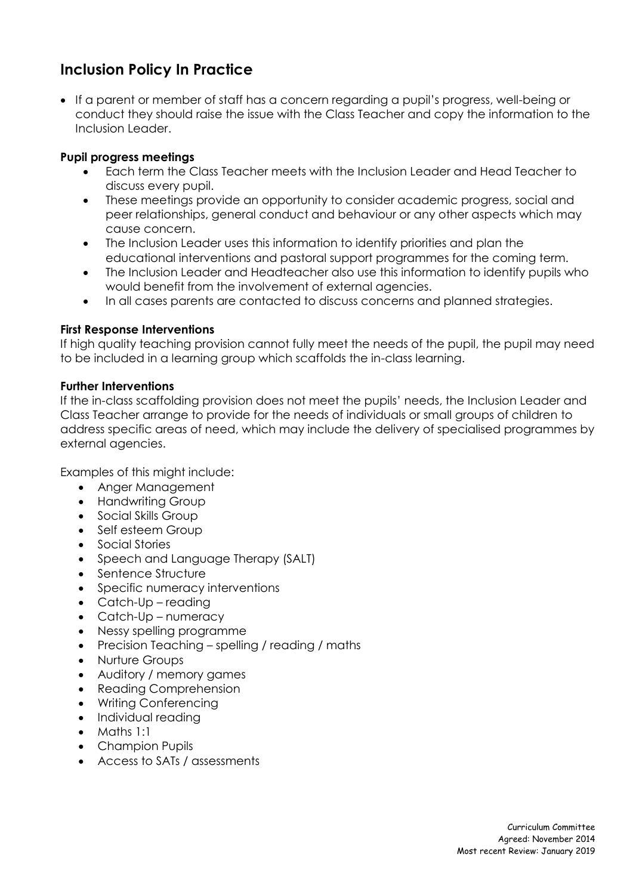## **Inclusion Policy In Practice**

 If a parent or member of staff has a concern regarding a pupil's progress, well-being or conduct they should raise the issue with the Class Teacher and copy the information to the Inclusion Leader.

### **Pupil progress meetings**

- Each term the Class Teacher meets with the Inclusion Leader and Head Teacher to discuss every pupil.
- These meetings provide an opportunity to consider academic progress, social and peer relationships, general conduct and behaviour or any other aspects which may cause concern.
- The Inclusion Leader uses this information to identify priorities and plan the educational interventions and pastoral support programmes for the coming term.
- The Inclusion Leader and Headteacher also use this information to identify pupils who would benefit from the involvement of external agencies.
- In all cases parents are contacted to discuss concerns and planned strategies.

### **First Response Interventions**

If high quality teaching provision cannot fully meet the needs of the pupil, the pupil may need to be included in a learning group which scaffolds the in-class learning.

### **Further Interventions**

If the in-class scaffolding provision does not meet the pupils' needs, the Inclusion Leader and Class Teacher arrange to provide for the needs of individuals or small groups of children to address specific areas of need, which may include the delivery of specialised programmes by external agencies.

Examples of this might include:

- Anger Management
- Handwriting Group
- Social Skills Group
- Self esteem Group
- Social Stories
- Speech and Language Therapy (SALT)
- Sentence Structure
- Specific numeracy interventions
- Catch-Up reading
- Catch-Up numeracy
- Nessy spelling programme
- Precision Teaching spelling / reading / maths
- Nurture Groups
- Auditory / memory games
- Reading Comprehension
- Writing Conferencing
- Individual reading
- Maths 1:1
- Champion Pupils
- Access to SATs / assessments